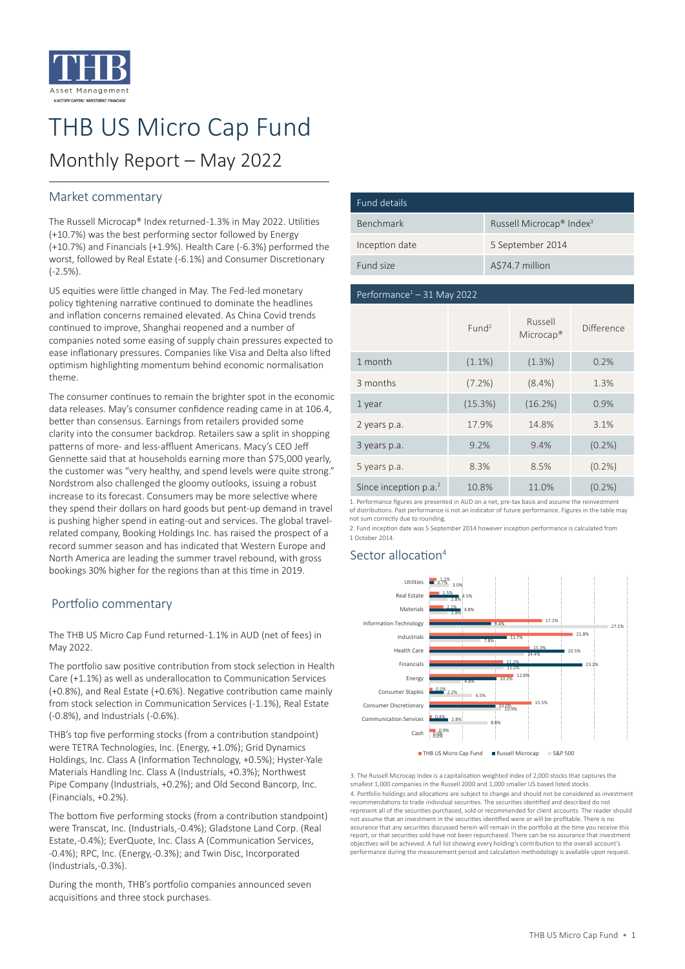

# THB US Micro Cap Fund

# Monthly Report – May 2022

## Market commentary

The Russell Microcap® Index returned -1.3% in May 2022. Utilities (+10.7%) was the best performing sector followed by Energy (+10.7%) and Financials (+1.9%). Health Care (-6.3%) performed the worst, followed by Real Estate (-6.1%) and Consumer Discretionary (-2.5%).

US equities were little changed in May. The Fed-led monetary policy tightening narrative continued to dominate the headlines and inflation concerns remained elevated. As China Covid trends continued to improve, Shanghai reopened and a number of companies noted some easing of supply chain pressures expected to ease inflationary pressures. Companies like Visa and Delta also lifted optimism highlighting momentum behind economic normalisation theme.

The consumer continues to remain the brighter spot in the economic data releases. May's consumer confidence reading came in at 106.4, better than consensus. Earnings from retailers provided some clarity into the consumer backdrop. Retailers saw a split in shopping patterns of more- and less-affluent Americans. Macy's CEO Jeff Gennette said that at households earning more than \$75,000 yearly, the customer was "very healthy, and spend levels were quite strong." Nordstrom also challenged the gloomy outlooks, issuing a robust increase to its forecast. Consumers may be more selective where they spend their dollars on hard goods but pent-up demand in travel is pushing higher spend in eating-out and services. The global travelrelated company, Booking Holdings Inc. has raised the prospect of a record summer season and has indicated that Western Europe and North America are leading the summer travel rebound, with gross bookings 30% higher for the regions than at this time in 2019.

# Portfolio commentary

The THB US Micro Cap Fund returned -1.1% in AUD (net of fees) in May 2022.

The portfolio saw positive contribution from stock selection in Health Care (+1.1%) as well as underallocation to Communication Services (+0.8%), and Real Estate (+0.6%). Negative contribution came mainly from stock selection in Communication Services (-1.1%), Real Estate (-0.8%), and Industrials (-0.6%).

THB's top five performing stocks (from a contribution standpoint) were TETRA Technologies, Inc. (Energy, +1.0%); Grid Dynamics Holdings, Inc. Class A (Information Technology, +0.5%); Hyster-Yale Materials Handling Inc. Class A (Industrials, +0.3%); Northwest Pipe Company (Industrials, +0.2%); and Old Second Bancorp, Inc. (Financials, +0.2%).

The bottom five performing stocks (from a contribution standpoint) were Transcat, Inc. (Industrials, -0.4%); Gladstone Land Corp. (Real Estate, -0.4%); EverQuote, Inc. Class A (Communication Services, -0.4%); RPC, Inc. (Energy, -0.3%); and Twin Disc, Incorporated (Industrials, -0.3%).

During the month, THB's portfolio companies announced seven acquisitions and three stock purchases.

| Fund details   |                                                  |
|----------------|--------------------------------------------------|
| Benchmark      | Russell Microcap <sup>®</sup> Index <sup>3</sup> |
| Inception date | 5 September 2014                                 |
| Fund size      | A\$74.7 million                                  |

#### Performance $1 - 31$  May 2022

|                         | Fund <sup>2</sup> | Russell<br>Microcap <sup>®</sup> | Difference |
|-------------------------|-------------------|----------------------------------|------------|
| 1 month                 | $(1.1\%)$         | (1.3%)                           | 0.2%       |
| 3 months                | $(7.2\%)$         | $(8.4\%)$                        | 1.3%       |
| 1 year                  | (15.3%)           | (16.2%)                          | 0.9%       |
| 2 years p.a.            | 17.9%             | 14.8%                            | 3.1%       |
| 3 years p.a.            | 9.2%              | 9.4%                             | $(0.2\%)$  |
| 5 years p.a.            | 8.3%              | 8.5%                             | $(0.2\%)$  |
| Since inception $p.a.2$ | 10.8%             | 11.0%                            | $(0.2\%)$  |

1. Performance figures are presented in AUD on a net, pre-tax basis and assume the reinvestment of distributions. Past performance is not an indicator of future performance. Figures in the table may not sum correctly due to rounding.

2. Fund inception date was 5 September 2014 however inception performance is calculated from 1 October 2014.

# Sector allocation<sup>4</sup>



3. The Russell Microcap Index is a capitalisation weighted index of 2,000 stocks that captures the smallest 1,000 companies in the Russell 2000 and 1,000 smaller US based listed stocks. 4. Portfolio holdings and allocations are subject to change and should not be considered as investment recommendations to trade individual securities. The securities identified and described do not represent all of the securities purchased, sold or recommended for client accounts. The reader should not assume that an investment in the securities identified were or will be profitable. There is no assurance that any securities discussed herein will remain in the portfolio at the time you receive this report, or that securities sold have not been repurchased. There can be no assurance that investment objectives will be achieved. A full list showing every holding's contribution to the overall account's performance during the measurement period and calculation methodology is available upon request.